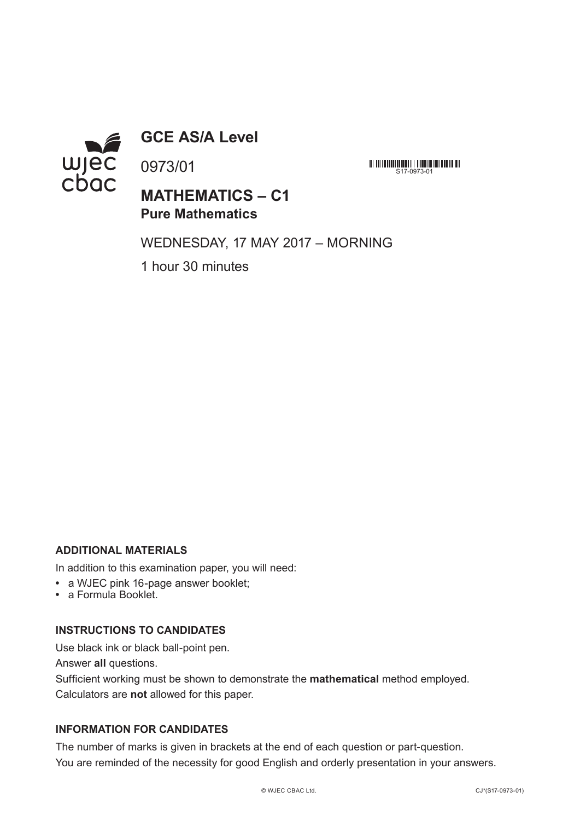

**GCE AS/A Level**

0973/01

**MATHEMATICS – C1 Pure Mathematics**

WEDNESDAY, 17 MAY 2017 – MORNING

**MINIMULATE AND S17-0973-01** 

1 hour 30 minutes

## **ADDITIONAL MATERIALS**

In addition to this examination paper, you will need:

- **•** a WJEC pink 16-page answer booklet;
- **•** a Formula Booklet.

#### **INSTRUCTIONS TO CANDIDATES**

Use black ink or black ball-point pen.

Answer **all** questions.

Sufficient working must be shown to demonstrate the **mathematical** method employed. Calculators are **not** allowed for this paper.

#### **INFORMATION FOR CANDIDATES**

The number of marks is given in brackets at the end of each question or part-question. You are reminded of the necessity for good English and orderly presentation in your answers.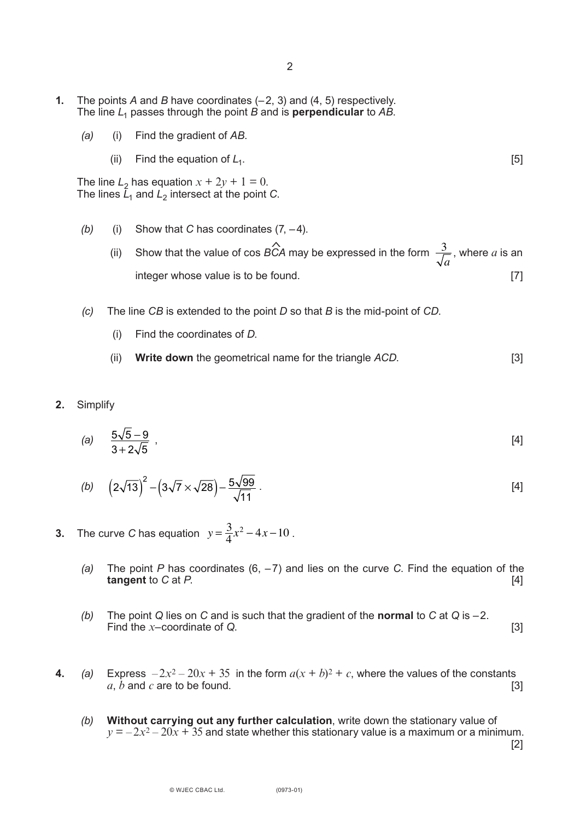- **1.** The points *A* and *B* have coordinates (–2, 3) and (4, 5) respectively. The line *L*1 passes through the point *B* and is **perpendicular** to *AB*.
	- *(a)* (i) Find the gradient of *AB*.
		- (ii) Find the equation of  $L_1$ .  $[5]$

The line  $L_2$  has equation  $x + 2y + 1 = 0$ . The lines  $\bar{L}_1$  and  $L_2$  intersect at the point *C*.

- *(b)* (i) Show that *C* has coordinates (7, –4).
	- (ii) Show that the value of cos  $\hat{BCA}$  may be expressed in the form  $\frac{3}{\sqrt{2}}$ , where a is an integer whose value is to be found. [7] *a*  $\lambda$
- *(c)* The line *CB* is extended to the point *D* so that *B* is the mid-point of *CD*.
	- (i) Find the coordinates of *D*.
	- (ii) **Write down** the geometrical name for the triangle *ACD*. [3]
- **2.** Simplify

(a) 
$$
\frac{5\sqrt{5}-9}{3+2\sqrt{5}}
$$
, [4]

(b) 
$$
\left(2\sqrt{13}\right)^2 - \left(3\sqrt{7} \times \sqrt{28}\right) - \frac{5\sqrt{99}}{\sqrt{11}}
$$
 (4)

- **3.** The curve *C* has equation  $y = \frac{3}{4}x^2 4x 10$ .
	- *(a)* The point *P* has coordinates (6, –7) and lies on the curve *C*. Find the equation of the **tangent** to *C* at *P*. [4]
	- *(b)* The point *Q* lies on *C* and is such that the gradient of the **normal** to *C* at *Q* is –2. Find the *x*–coordinate of *Q*. [3]
- **4.** (a) Express  $-2x^2 20x + 35$  in the form  $a(x + b)^2 + c$ , where the values of the constants  $a, b$  and  $c$  are to be found. [3]
- *(b)* **Without carrying out any further calculation**, write down the stationary value of  $y = -2x^2 - 20x + 35$  and state whether this stationary value is a maximum or a minimum. [2]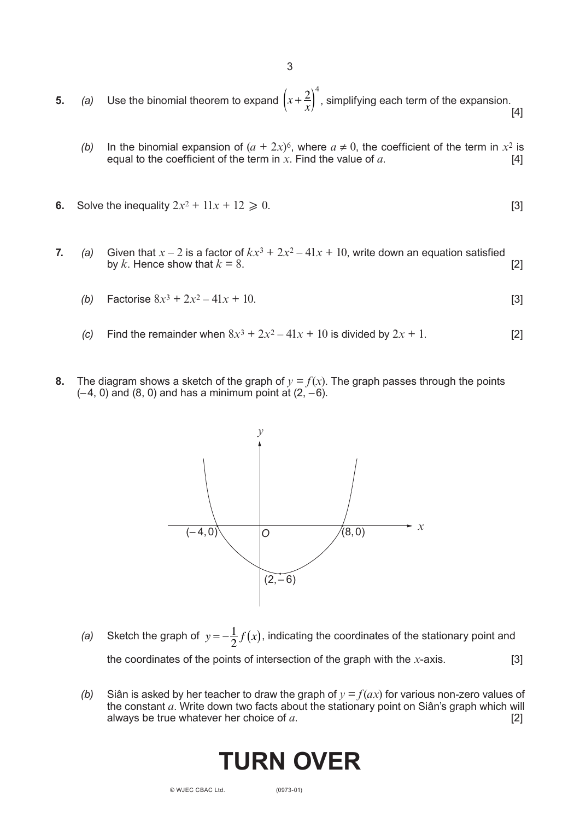**5.** *(a)* Use the binomial theorem to expand  $\left(x + \frac{2}{x}\right)^4$ , simplifying each term of the expansion. [4] 4

3

- *(b)* In the binomial expansion of  $(a + 2x)^6$ , where  $a \neq 0$ , the coefficient of the term in  $x^2$  is equal to the coefficient of the term in  $x$ . Find the value of  $a$ .  $[4]$
- **6.** Solve the inequality  $2x^2 + 11x + 12 \ge 0$ . [3]
- **7.** *(a)* Given that  $x 2$  is a factor of  $kx^3 + 2x^2 41x + 10$ , write down an equation satisfied by  $k$ . Hence show that  $k = 8$ . [2]
	- (b) Factorise  $8x^3 + 2x^2 41x + 10$ . [3]
	- *(c)* Find the remainder when  $8x^3 + 2x^2 41x + 10$  is divided by  $2x + 1$ . [2]
- **8.** The diagram shows a sketch of the graph of  $y = f(x)$ . The graph passes through the points  $(-4, 0)$  and  $(8, 0)$  and has a minimum point at  $(2, -6)$ .



- *(a)* Sketch the graph of  $y = -\frac{1}{2}f(x)$ , indicating the coordinates of the stationary point and the coordinates of the points of intersection of the graph with the *x*-axis. [3]
- *(b)* Siân is asked by her teacher to draw the graph of  $y = f(ax)$  for various non-zero values of the constant *a*. Write down two facts about the stationary point on Siân's graph which will always be true whatever her choice of *a*. [2]

# **TURN OVER**